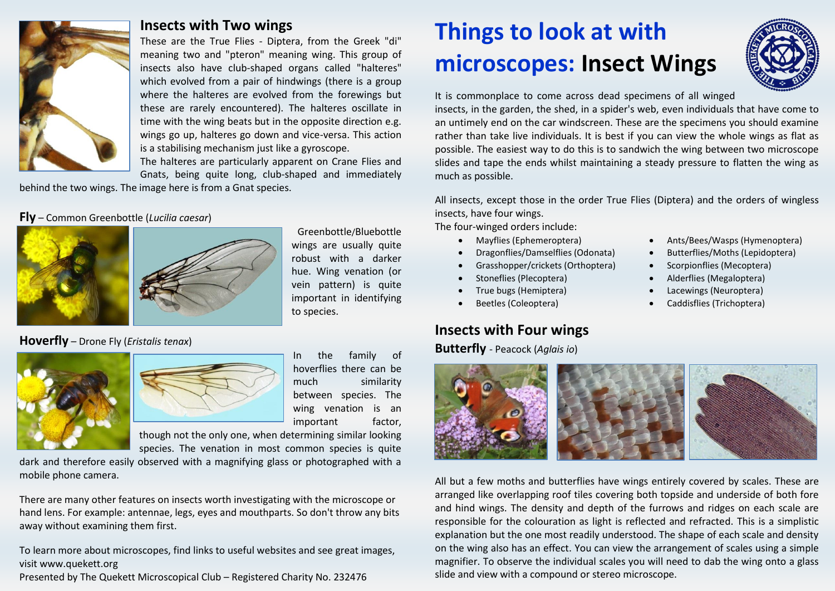

## **Insects with Two wings**

These are the True Flies - Diptera, from the Greek "di" meaning two and "pteron" meaning wing. This group of insects also have club-shaped organs called "halteres" which evolved from a pair of hindwings (there is a group where the halteres are evolved from the forewings but these are rarely encountered). The halteres oscillate in time with the wing beats but in the opposite direction e.g. wings go up, halteres go down and vice-versa. This action is a stabilising mechanism just like a gyroscope.

The halteres are particularly apparent on Crane Flies and Gnats, being quite long, club-shaped and immediately

behind the two wings. The image here is from a Gnat species.

#### **Fly** – Common Greenbottle (*Lucilia caesar*)



Greenbottle/Bluebottle wings are usually quite robust with a darker hue. Wing venation (or vein pattern) is quite important in identifying to species.

## **Hoverfly** – Drone Fly (*Eristalis tenax*)





In the family of hoverflies there can be much similarity between species. The wing venation is an important factor,

though not the only one, when determining similar looking species. The venation in most common species is quite

dark and therefore easily observed with a magnifying glass or photographed with a mobile phone camera.

There are many other features on insects worth investigating with the microscope or hand lens. For example: antennae, legs, eyes and mouthparts. So don't throw any bits away without examining them first.

To learn more about microscopes, find links to useful websites and see great images, visit www.quekett.org

Presented by The Quekett Microscopical Club – Registered Charity No. 232476

# **Things to look at with microscopes: Insect Wings**



It is commonplace to come across dead specimens of all winged

insects, in the garden, the shed, in a spider's web, even individuals that have come to an untimely end on the car windscreen. These are the specimens you should examine rather than take live individuals. It is best if you can view the whole wings as flat as possible. The easiest way to do this is to sandwich the wing between two microscope slides and tape the ends whilst maintaining a steady pressure to flatten the wing as much as possible.

All insects, except those in the order True Flies (Diptera) and the orders of wingless insects, have four wings.

The four-winged orders include:

- Mayflies (Ephemeroptera)
- Dragonflies/Damselflies (Odonata)
- Grasshopper/crickets (Orthoptera)
- Stoneflies (Plecoptera)
- True bugs (Hemiptera)
- Beetles (Coleoptera)

**Insects with Four wings Butterfly** - Peacock (*Aglais io*)

- Ants/Bees/Wasps (Hymenoptera)
- Butterflies/Moths (Lepidoptera)
- Scorpionflies (Mecoptera)
- Alderflies (Megaloptera)
- Lacewings (Neuroptera)
- Caddisflies (Trichoptera)



All but a few moths and butterflies have wings entirely covered by scales. These are arranged like overlapping roof tiles covering both topside and underside of both fore and hind wings. The density and depth of the furrows and ridges on each scale are responsible for the colouration as light is reflected and refracted. This is a simplistic explanation but the one most readily understood. The shape of each scale and density on the wing also has an effect. You can view the arrangement of scales using a simple magnifier. To observe the individual scales you will need to dab the wing onto a glass slide and view with a compound or stereo microscope.